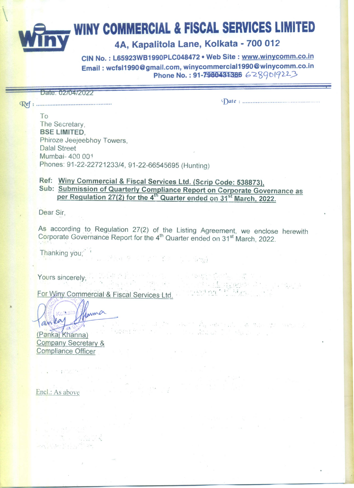**WINY COMMERCIAL & FISCAL SERVICES LIMITED** 

## 4A, Kapalitola Lane, Kolkata - 700 012

CIN No.: L65923WB1990PLC048472 . Web Site: www.winycomm.co.in Email: wcfsl1990@gmail.com, winycommercial1990@winycomm.co.in Phone No.: 91-7980431386 6289019223

Date: 02/04/2022

计地址产

To The Secretary, **BSE LIMITED.** Phiroze Jeejeebhoy Towers, **Dalal Street** Mumbai- 400 001 Phones: 91-22-22721233/4, 91-22-66545695 (Hunting)

## Ref: Winy Commercial & Fiscal Services Ltd. (Scrip Code: 538873), Sub: Submission of Quarterly Compliance Report on Corporate Governance as per Regulation 27(2) for the 4<sup>th</sup> Quarter ended on 31<sup>st</sup> March, 2022.

Dear Sir.

As according to Regulation 27(2) of the Listing Agreement, we enclose herewith Corporate Governance Report for the 4<sup>th</sup> Quarter ended on 31<sup>st</sup> March, 2022.

 $\label{eq:2.1} \mathcal{L} = \mathcal{L} \left( \mathcal{L} \right) \otimes \mathcal{L} \left( \mathcal{L} \right) \otimes \mathcal{L} \left( \mathcal{L} \right) \otimes \mathcal{L} \left( \mathcal{L} \right) \otimes \mathcal{L} \left( \mathcal{L} \right) \otimes \mathcal{L} \left( \mathcal{L} \right) \otimes \mathcal{L} \left( \mathcal{L} \right) \otimes \mathcal{L} \left( \mathcal{L} \right) \otimes \mathcal{L} \left( \mathcal{L} \right) \otimes \mathcal{L} \left( \mathcal{L}$ 

the state of the second of the distribution

man de monde

i da a

Marge then the collected

 $\label{eq:zeta} \begin{array}{ccccc} \zeta_0^{\prime\prime} & \zeta_1^{\prime\prime} & \zeta_2^{\prime\prime} & \zeta_3^{\prime\prime} & \zeta_4^{\prime\prime} & \zeta_5^{\prime\prime} \\ \zeta_1^{\prime\prime} & \zeta_2^{\prime\prime} & \zeta_3^{\prime\prime} & \zeta_4^{\prime\prime} & \zeta_5^{\prime\prime} & \zeta_6^{\prime\prime} \end{array}$ 

Thanking you;

的复数齐全国 Yours sincerely;

For Winy Commercial & Fiscal Services Ltd.

Jama Kolkate anta 

(Pankaj Khanna) Company Secretary & **Compliance Officer** 

me - Salva Vi

and More To County of States

Encl.: As above

 $\epsilon \rightarrow \epsilon$  , and  $\epsilon$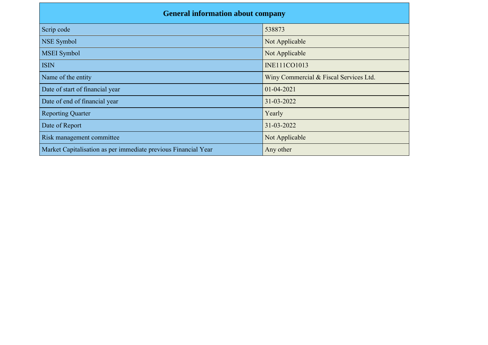| <b>General information about company</b>                       |                                        |  |  |  |  |  |  |  |
|----------------------------------------------------------------|----------------------------------------|--|--|--|--|--|--|--|
| Scrip code                                                     | 538873                                 |  |  |  |  |  |  |  |
| <b>NSE Symbol</b>                                              | Not Applicable                         |  |  |  |  |  |  |  |
| <b>MSEI</b> Symbol                                             | Not Applicable                         |  |  |  |  |  |  |  |
| <b>ISIN</b>                                                    | <b>INE111CO1013</b>                    |  |  |  |  |  |  |  |
| Name of the entity                                             | Winy Commercial & Fiscal Services Ltd. |  |  |  |  |  |  |  |
| Date of start of financial year                                | $01 - 04 - 2021$                       |  |  |  |  |  |  |  |
| Date of end of financial year                                  | 31-03-2022                             |  |  |  |  |  |  |  |
| <b>Reporting Quarter</b>                                       | Yearly                                 |  |  |  |  |  |  |  |
| Date of Report                                                 | 31-03-2022                             |  |  |  |  |  |  |  |
| Risk management committee                                      | Not Applicable                         |  |  |  |  |  |  |  |
| Market Capitalisation as per immediate previous Financial Year | Any other                              |  |  |  |  |  |  |  |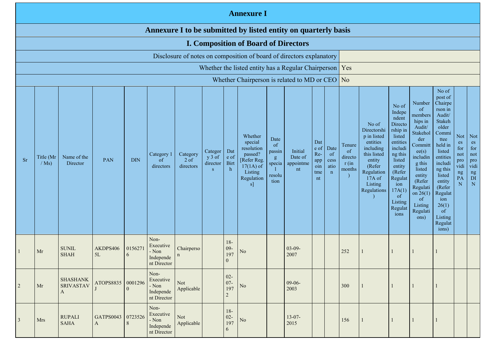|                                                                                                                                                                                                                                                                                                                                                                                                                                                                                                                                                       | <b>Annexure I</b>                                                                                                                 |                                          |                                   |                          |                                                                 |                           |                      |                                                      |                                                                                                                                                   |                                                                                                                                                                                           |                                                                                                                                                                                                                              |                                                                                                                                                                                                                                  |                                                         |                                                                                                |  |    |  |       |  |  |
|-------------------------------------------------------------------------------------------------------------------------------------------------------------------------------------------------------------------------------------------------------------------------------------------------------------------------------------------------------------------------------------------------------------------------------------------------------------------------------------------------------------------------------------------------------|-----------------------------------------------------------------------------------------------------------------------------------|------------------------------------------|-----------------------------------|--------------------------|-----------------------------------------------------------------|---------------------------|----------------------|------------------------------------------------------|---------------------------------------------------------------------------------------------------------------------------------------------------|-------------------------------------------------------------------------------------------------------------------------------------------------------------------------------------------|------------------------------------------------------------------------------------------------------------------------------------------------------------------------------------------------------------------------------|----------------------------------------------------------------------------------------------------------------------------------------------------------------------------------------------------------------------------------|---------------------------------------------------------|------------------------------------------------------------------------------------------------|--|----|--|-------|--|--|
|                                                                                                                                                                                                                                                                                                                                                                                                                                                                                                                                                       | Annexure I to be submitted by listed entity on quarterly basis                                                                    |                                          |                                   |                          |                                                                 |                           |                      |                                                      |                                                                                                                                                   |                                                                                                                                                                                           |                                                                                                                                                                                                                              |                                                                                                                                                                                                                                  |                                                         |                                                                                                |  |    |  |       |  |  |
| <b>I. Composition of Board of Directors</b>                                                                                                                                                                                                                                                                                                                                                                                                                                                                                                           |                                                                                                                                   |                                          |                                   |                          |                                                                 |                           |                      |                                                      |                                                                                                                                                   |                                                                                                                                                                                           |                                                                                                                                                                                                                              |                                                                                                                                                                                                                                  |                                                         |                                                                                                |  |    |  |       |  |  |
|                                                                                                                                                                                                                                                                                                                                                                                                                                                                                                                                                       | Disclosure of notes on composition of board of directors explanatory<br>Whether the listed entity has a Regular Chairperson   Yes |                                          |                                   |                          |                                                                 |                           |                      |                                                      |                                                                                                                                                   |                                                                                                                                                                                           |                                                                                                                                                                                                                              |                                                                                                                                                                                                                                  |                                                         |                                                                                                |  |    |  |       |  |  |
|                                                                                                                                                                                                                                                                                                                                                                                                                                                                                                                                                       |                                                                                                                                   |                                          |                                   |                          |                                                                 |                           |                      |                                                      |                                                                                                                                                   |                                                                                                                                                                                           |                                                                                                                                                                                                                              |                                                                                                                                                                                                                                  |                                                         |                                                                                                |  |    |  |       |  |  |
|                                                                                                                                                                                                                                                                                                                                                                                                                                                                                                                                                       |                                                                                                                                   |                                          |                                   |                          |                                                                 |                           |                      |                                                      | Whether Chairperson is related to MD or CEO $\vert$ No                                                                                            |                                                                                                                                                                                           |                                                                                                                                                                                                                              |                                                                                                                                                                                                                                  |                                                         |                                                                                                |  |    |  | No of |  |  |
| Whether<br>Date<br>special<br>Dat<br>of<br>resolution<br>e of<br>Initial<br>Dat<br>Categor<br>passin<br>passed?<br>Re-<br>Category 1<br>Category<br>of<br>Name of the<br>Title (Mr<br>Date of<br>$y 3$ of<br>e of<br>g<br>PAN<br><b>DIN</b><br><b>Sr</b><br>$2$ of<br>[Refer Reg.<br>of<br>app<br><b>Birt</b><br>director<br>appointme<br>$/Ms$ )<br>Director<br>specia<br>directors<br>directors<br>$17(1A)$ of<br>oin<br>$\mathbf{h}$<br>nt<br>$\perp$<br><sub>S</sub><br>Listing<br>tme<br>n<br>resolu<br>Regulation<br>nt<br>tion<br><sub>s</sub> |                                                                                                                                   |                                          |                                   |                          |                                                                 |                           | Date<br>cess<br>atio | Tenure<br><sub>of</sub><br>directo<br>r(in<br>months | No of<br>Directorshi<br>p in listed<br>entities<br>including<br>this listed<br>entity<br>(Refer<br>Regulation<br>17A of<br>Listing<br>Regulations | No of<br>Indepe<br>ndent<br>Directo<br>rship in<br>listed<br>entities<br>includi<br>ng this<br>listed<br>entity<br>(Refer<br>Regulat<br>ion<br>17A(1)<br>of<br>Listing<br>Regulat<br>ions | Number<br><sub>of</sub><br>members<br>hips in<br>Audit/<br>Stakehol<br>der<br>Committ<br>ee(s)<br>includin<br>g this<br>listed<br>entity<br>(Refer<br>Regulati<br>on $26(1)$<br><sub>of</sub><br>Listing<br>Regulati<br>ons) | post of<br>Chairpe<br>rson in<br>Audit/<br>Stakeh<br>older<br>Commi<br>ttee<br>held in<br>listed<br>entities<br>includi<br>ng this<br>listed<br>entity<br>(Refer<br>Regulat<br>ion<br>26(1)<br>of<br>Listing<br>Regulat<br>ions) | Not<br>es<br>for<br>not<br>pro<br>vidi<br>ng<br>PA<br>N | Not<br>es<br>for<br>not<br>pro<br>vidi<br>$\mathop{\hbox{ng}}\limits_{\hbox{DI}}$<br>${\bf N}$ |  |    |  |       |  |  |
|                                                                                                                                                                                                                                                                                                                                                                                                                                                                                                                                                       | Mr                                                                                                                                | <b>SUNIL</b><br><b>SHAH</b>              | AKDPS406<br>5L                    | 0156271<br>$\mathfrak b$ | Non-<br>Executive<br>- Non<br>Independe<br>nt Director          | Chairperso<br>$\mathbf n$ |                      | $18-$<br>$09 -$<br>197<br>$\overline{0}$             | N <sub>o</sub>                                                                                                                                    |                                                                                                                                                                                           | $03 - 09 -$<br>2007                                                                                                                                                                                                          |                                                                                                                                                                                                                                  |                                                         | 252                                                                                            |  |    |  |       |  |  |
| $\overline{2}$                                                                                                                                                                                                                                                                                                                                                                                                                                                                                                                                        | Mr                                                                                                                                | <b>SHASHANK</b><br><b>SRIVASTAV</b><br>A | ATOPS8835 0001296                 |                          | Non-<br>Executive<br>$\mbox{-}$ Non<br>Independe<br>nt Director | Not<br>Applicable         |                      | $02 -$<br>$07 -$<br>197<br>$\sqrt{2}$                | $\rm No$                                                                                                                                          |                                                                                                                                                                                           | $09-06-$<br>2003                                                                                                                                                                                                             |                                                                                                                                                                                                                                  |                                                         | 300                                                                                            |  | -1 |  |       |  |  |
| $\overline{3}$                                                                                                                                                                                                                                                                                                                                                                                                                                                                                                                                        | <b>Mrs</b>                                                                                                                        | <b>RUPALI</b><br><b>SAHA</b>             | GATPS0043 0723526<br>$\mathbf{A}$ | 8                        | Non-<br>Executive<br>$-$ Non<br>Independe<br>nt Director        | Not<br>Applicable         |                      | $18-$<br>$02 -$<br>197<br>6                          | $\rm No$                                                                                                                                          |                                                                                                                                                                                           | $13-07-$<br>2015                                                                                                                                                                                                             |                                                                                                                                                                                                                                  |                                                         | 156                                                                                            |  |    |  |       |  |  |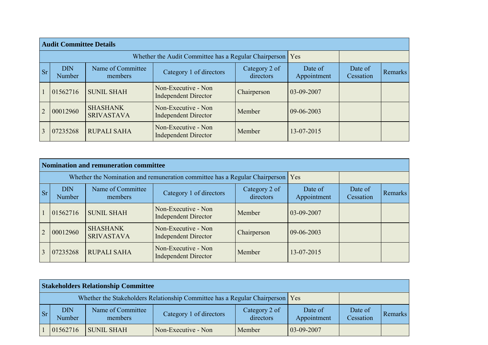|           | <b>Audit Committee Details</b> |                                                             |                                                    |                      |              |  |  |  |  |  |  |  |  |
|-----------|--------------------------------|-------------------------------------------------------------|----------------------------------------------------|----------------------|--------------|--|--|--|--|--|--|--|--|
|           |                                | Whether the Audit Committee has a Regular Chairperson   Yes |                                                    |                      |              |  |  |  |  |  |  |  |  |
| <b>Sr</b> | <b>DIN</b><br>Number           | Name of Committee<br>members                                | Date of<br>Appointment                             | Date of<br>Cessation | Remarks      |  |  |  |  |  |  |  |  |
|           | 01562716                       | <b>SUNIL SHAH</b>                                           | Non-Executive - Non<br><b>Independent Director</b> | Chairperson          | $03-09-2007$ |  |  |  |  |  |  |  |  |
|           | 00012960                       | <b>SHASHANK</b><br><b>SRIVASTAVA</b>                        | Non-Executive - Non<br><b>Independent Director</b> | Member               | 09-06-2003   |  |  |  |  |  |  |  |  |
|           | 07235268                       | <b>RUPALI SAHA</b>                                          | Non-Executive - Non<br><b>Independent Director</b> | Member               | 13-07-2015   |  |  |  |  |  |  |  |  |

|                | <b>Nomination and remuneration committee</b> |                                      |                                                                             |                      |                  |  |  |  |  |  |  |  |  |
|----------------|----------------------------------------------|--------------------------------------|-----------------------------------------------------------------------------|----------------------|------------------|--|--|--|--|--|--|--|--|
|                |                                              |                                      | Whether the Nomination and remuneration committee has a Regular Chairperson |                      | Yes              |  |  |  |  |  |  |  |  |
| <b>Sr</b>      | <b>DIN</b><br><b>Number</b>                  | Name of Committee<br>members         | Date of<br>Appointment                                                      | Date of<br>Cessation | <b>Remarks</b>   |  |  |  |  |  |  |  |  |
|                | 01562716                                     | <b>SUNIL SHAH</b>                    | Non-Executive - Non<br><b>Independent Director</b>                          | Member               | $03-09-2007$     |  |  |  |  |  |  |  |  |
| $\overline{2}$ | 00012960                                     | <b>SHASHANK</b><br><b>SRIVASTAVA</b> | Non-Executive - Non<br><b>Independent Director</b>                          | Chairperson          | $09 - 06 - 2003$ |  |  |  |  |  |  |  |  |
|                | 07235268                                     | <b>RUPALI SAHA</b>                   | Non-Executive - Non<br><b>Independent Director</b>                          | Member               | 13-07-2015       |  |  |  |  |  |  |  |  |

|           | <b>Stakeholders Relationship Committee</b>                                    |                              |                         |                            |                        |                      |         |  |  |  |  |  |
|-----------|-------------------------------------------------------------------------------|------------------------------|-------------------------|----------------------------|------------------------|----------------------|---------|--|--|--|--|--|
|           | Whether the Stakeholders Relationship Committee has a Regular Chairperson Yes |                              |                         |                            |                        |                      |         |  |  |  |  |  |
| <b>Sr</b> | <b>DIN</b><br><b>Number</b>                                                   | Name of Committee<br>members | Category 1 of directors | Category 2 of<br>directors | Date of<br>Appointment | Date of<br>Cessation | Remarks |  |  |  |  |  |
|           | 01562716                                                                      | <b>SUNIL SHAH</b>            | Non-Executive - Non     | Member                     | $03-09-2007$           |                      |         |  |  |  |  |  |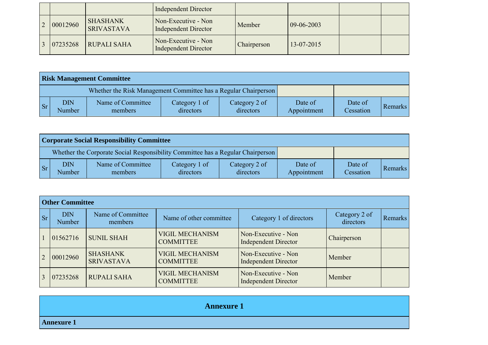|          |                                      | <b>Independent Director</b>                        |             |                      |  |
|----------|--------------------------------------|----------------------------------------------------|-------------|----------------------|--|
| 00012960 | <b>SHASHANK</b><br><b>SRIVASTAVA</b> | Non-Executive - Non<br><b>Independent Director</b> | Member      | $ 09-06-2003\rangle$ |  |
| 07235268 | <b>RUPALI SAHA</b>                   | Non-Executive - Non<br><b>Independent Director</b> | Chairperson | 13-07-2015           |  |

|           | <b>Risk Management Committee</b> |                                                                 |                            |                            |                        |                      |         |  |  |  |  |  |
|-----------|----------------------------------|-----------------------------------------------------------------|----------------------------|----------------------------|------------------------|----------------------|---------|--|--|--|--|--|
|           |                                  | Whether the Risk Management Committee has a Regular Chairperson |                            |                            |                        |                      |         |  |  |  |  |  |
| <b>Sr</b> | <b>DIN</b><br>Number             | Name of Committee<br>members                                    | Category 1 of<br>directors | Category 2 of<br>directors | Date of<br>Appointment | Date of<br>Cessation | Remarks |  |  |  |  |  |

|           | <b>Corporate Social Responsibility Committee</b> |                                                                                 |                            |                            |                        |                      |         |  |  |  |  |  |
|-----------|--------------------------------------------------|---------------------------------------------------------------------------------|----------------------------|----------------------------|------------------------|----------------------|---------|--|--|--|--|--|
|           |                                                  | Whether the Corporate Social Responsibility Committee has a Regular Chairperson |                            |                            |                        |                      |         |  |  |  |  |  |
| <b>Sr</b> | <b>DIN</b><br>Number                             | Name of Committee<br>members                                                    | Category 1 of<br>directors | Category 2 of<br>directors | Date of<br>Appointment | Date of<br>Cessation | Remarks |  |  |  |  |  |

|           | <b>Other Committee</b>      |                                      |                                            |                                                    |                            |         |  |  |  |  |  |
|-----------|-----------------------------|--------------------------------------|--------------------------------------------|----------------------------------------------------|----------------------------|---------|--|--|--|--|--|
| <b>Sr</b> | <b>DIN</b><br><b>Number</b> | Name of Committee<br>members         | Name of other committee                    | Category 1 of directors                            | Category 2 of<br>directors | Remarks |  |  |  |  |  |
|           | 01562716                    | <b>SUNIL SHAH</b>                    | <b>VIGIL MECHANISM</b><br><b>COMMITTEE</b> | Non-Executive - Non<br><b>Independent Director</b> | Chairperson                |         |  |  |  |  |  |
| 2         | 00012960                    | <b>SHASHANK</b><br><b>SRIVASTAVA</b> | <b>VIGIL MECHANISM</b><br><b>COMMITTEE</b> | Non-Executive - Non<br><b>Independent Director</b> | Member                     |         |  |  |  |  |  |
| 3         | 07235268                    | <b>RUPALI SAHA</b>                   | <b>VIGIL MECHANISM</b><br><b>COMMITTEE</b> | Non-Executive - Non<br><b>Independent Director</b> | Member                     |         |  |  |  |  |  |

| <b>Annexure 1</b> |
|-------------------|
| <b>Annexure 1</b> |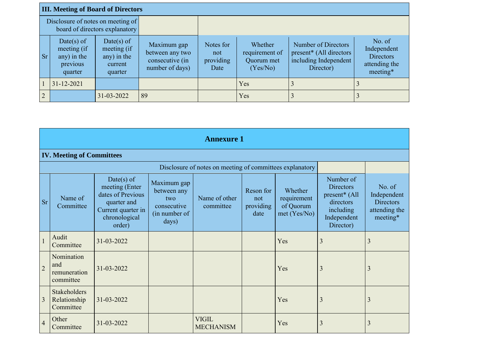| <b>III. Meeting of Board of Directors</b> |                                                                 |                                                                |                                                                      |                                       |                                                     |                                                                                                  |                                                                        |  |  |  |  |
|-------------------------------------------|-----------------------------------------------------------------|----------------------------------------------------------------|----------------------------------------------------------------------|---------------------------------------|-----------------------------------------------------|--------------------------------------------------------------------------------------------------|------------------------------------------------------------------------|--|--|--|--|
|                                           | Disclosure of notes on meeting of                               | board of directors explanatory                                 |                                                                      |                                       |                                                     |                                                                                                  |                                                                        |  |  |  |  |
| <b>Sr</b>                                 | Date(s) of<br>meeting (if<br>any) in the<br>previous<br>quarter | Date(s) of<br>meeting (if<br>any) in the<br>current<br>quarter | Maximum gap<br>between any two<br>consecutive (in<br>number of days) | Notes for<br>not<br>providing<br>Date | Whether<br>requirement of<br>Quorum met<br>(Yes/No) | Number of Directors<br>present <sup>*</sup> (All directors<br>including Independent<br>Director) | No. of<br>Independent<br><b>Directors</b><br>attending the<br>meeting* |  |  |  |  |
|                                           | $31 - 12 - 2021$                                                |                                                                |                                                                      |                                       | Yes                                                 |                                                                                                  |                                                                        |  |  |  |  |
| $\overline{2}$                            |                                                                 | 31-03-2022                                                     | 89                                                                   |                                       | Yes                                                 |                                                                                                  |                                                                        |  |  |  |  |

|                | <b>Annexure 1</b>                                |                                                                                                                   |                                                                            |                                                          |                                       |                                                     |                                                                                                                  |                                                                        |  |  |  |  |  |  |
|----------------|--------------------------------------------------|-------------------------------------------------------------------------------------------------------------------|----------------------------------------------------------------------------|----------------------------------------------------------|---------------------------------------|-----------------------------------------------------|------------------------------------------------------------------------------------------------------------------|------------------------------------------------------------------------|--|--|--|--|--|--|
|                | <b>IV. Meeting of Committees</b>                 |                                                                                                                   |                                                                            |                                                          |                                       |                                                     |                                                                                                                  |                                                                        |  |  |  |  |  |  |
|                |                                                  |                                                                                                                   |                                                                            | Disclosure of notes on meeting of committees explanatory |                                       |                                                     |                                                                                                                  |                                                                        |  |  |  |  |  |  |
| <b>Sr</b>      | Name of<br>Committee                             | Date(s) of<br>meeting (Enter<br>dates of Previous<br>quarter and<br>Current quarter in<br>chronological<br>order) | Maximum gap<br>between any<br>two<br>consecutive<br>(in number of<br>days) | Name of other<br>committee                               | Reson for<br>not<br>providing<br>date | Whether<br>requirement<br>of Quorum<br>met (Yes/No) | Number of<br><b>Directors</b><br>present <sup>*</sup> (All<br>directors<br>including<br>Independent<br>Director) | No. of<br>Independent<br><b>Directors</b><br>attending the<br>meeting* |  |  |  |  |  |  |
| $\mathbf{1}$   | Audit<br>Committee                               | 31-03-2022                                                                                                        |                                                                            |                                                          |                                       | Yes                                                 | 3                                                                                                                | 3                                                                      |  |  |  |  |  |  |
| $\overline{2}$ | Nomination<br>and<br>remuneration<br>committee   | 31-03-2022                                                                                                        |                                                                            |                                                          |                                       | Yes                                                 | 3                                                                                                                | 3                                                                      |  |  |  |  |  |  |
| $\overline{3}$ | <b>Stakeholders</b><br>Relationship<br>Committee | 31-03-2022                                                                                                        |                                                                            |                                                          |                                       | Yes                                                 | 3                                                                                                                | 3                                                                      |  |  |  |  |  |  |
| $\overline{4}$ | Other<br>Committee                               | 31-03-2022                                                                                                        |                                                                            | <b>VIGIL</b><br><b>MECHANISM</b>                         |                                       | Yes                                                 | 3                                                                                                                | 3                                                                      |  |  |  |  |  |  |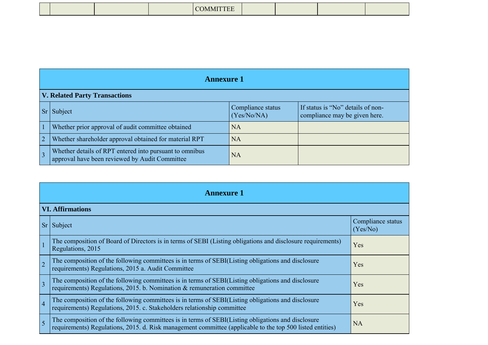| . |  |
|---|--|
|---|--|

| <b>Annexure 1</b>                                                                                         |                                  |                                                                    |  |  |
|-----------------------------------------------------------------------------------------------------------|----------------------------------|--------------------------------------------------------------------|--|--|
| <b>V. Related Party Transactions</b>                                                                      |                                  |                                                                    |  |  |
| Subject                                                                                                   | Compliance status<br>(Yes/No/NA) | If status is "No" details of non-<br>compliance may be given here. |  |  |
| Whether prior approval of audit committee obtained                                                        | <b>NA</b>                        |                                                                    |  |  |
| Whether shareholder approval obtained for material RPT                                                    | NA                               |                                                                    |  |  |
| Whether details of RPT entered into pursuant to omnibus<br>approval have been reviewed by Audit Committee | NA                               |                                                                    |  |  |

|                | <b>Annexure 1</b>                                                                                                                                                                                               |                               |  |  |
|----------------|-----------------------------------------------------------------------------------------------------------------------------------------------------------------------------------------------------------------|-------------------------------|--|--|
|                | <b>VI. Affirmations</b>                                                                                                                                                                                         |                               |  |  |
|                | Sr Subject                                                                                                                                                                                                      | Compliance status<br>(Yes/No) |  |  |
|                | The composition of Board of Directors is in terms of SEBI (Listing obligations and disclosure requirements)<br>Regulations, 2015                                                                                | Yes                           |  |  |
| $\overline{2}$ | The composition of the following committees is in terms of SEBI(Listing obligations and disclosure<br>requirements) Regulations, 2015 a. Audit Committee                                                        | Yes                           |  |  |
| $\overline{3}$ | The composition of the following committees is in terms of SEBI(Listing obligations and disclosure<br>requirements) Regulations, 2015. b. Nomination & remuneration committee                                   | Yes                           |  |  |
| $\overline{4}$ | The composition of the following committees is in terms of SEBI(Listing obligations and disclosure<br>requirements) Regulations, 2015. c. Stakeholders relationship committee                                   | Yes                           |  |  |
| $\overline{5}$ | The composition of the following committees is in terms of SEBI(Listing obligations and disclosure<br>requirements) Regulations, 2015. d. Risk management committee (applicable to the top 500 listed entities) | <b>NA</b>                     |  |  |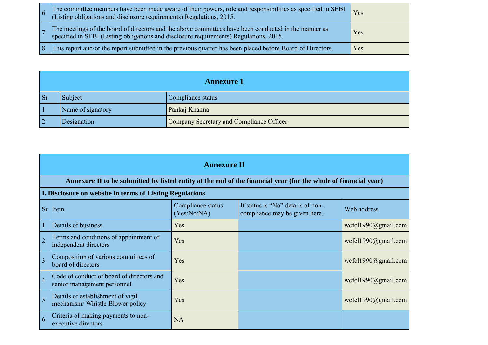|  | The committee members have been made aware of their powers, role and responsibilities as specified in SEBI<br>(Listing obligations and disclosure requirements) Regulations, 2015.          | Yes |
|--|---------------------------------------------------------------------------------------------------------------------------------------------------------------------------------------------|-----|
|  | The meetings of the board of directors and the above committees have been conducted in the manner as specified in SEBI (Listing obligations and disclosure requirements) Regulations, 2015. | Yes |
|  | This report and/or the report submitted in the previous quarter has been placed before Board of Directors.                                                                                  | Yes |

|          | <b>Annexure 1</b> |                                          |  |  |
|----------|-------------------|------------------------------------------|--|--|
| <b>S</b> | Subject           | Compliance status                        |  |  |
|          | Name of signatory | Pankaj Khanna                            |  |  |
|          | Designation       | Company Secretary and Compliance Officer |  |  |

|                | <b>Annexure II</b>                                                                                              |                                  |                                                                    |                     |  |  |  |
|----------------|-----------------------------------------------------------------------------------------------------------------|----------------------------------|--------------------------------------------------------------------|---------------------|--|--|--|
|                | Annexure II to be submitted by listed entity at the end of the financial year (for the whole of financial year) |                                  |                                                                    |                     |  |  |  |
|                | I. Disclosure on website in terms of Listing Regulations                                                        |                                  |                                                                    |                     |  |  |  |
|                | $Sr$ Item                                                                                                       | Compliance status<br>(Yes/No/NA) | If status is "No" details of non-<br>compliance may be given here. | Web address         |  |  |  |
| $\mathbf{1}$   | Details of business                                                                                             | Yes                              |                                                                    | wcfcl1990@gmail.com |  |  |  |
| $\overline{2}$ | Terms and conditions of appointment of<br>independent directors                                                 | Yes                              |                                                                    | wcfcl1990@gmail.com |  |  |  |
| $\overline{3}$ | Composition of various committees of<br>board of directors                                                      | Yes                              |                                                                    | wcfcl1990@gmail.com |  |  |  |
| $\overline{4}$ | Code of conduct of board of directors and<br>senior management personnel                                        | Yes                              |                                                                    | wcfcl1990@gmail.com |  |  |  |
| 5              | Details of establishment of vigil<br>mechanism/ Whistle Blower policy                                           | Yes                              |                                                                    | wcfcl1990@gmail.com |  |  |  |
| 6              | Criteria of making payments to non-<br>executive directors                                                      | <b>NA</b>                        |                                                                    |                     |  |  |  |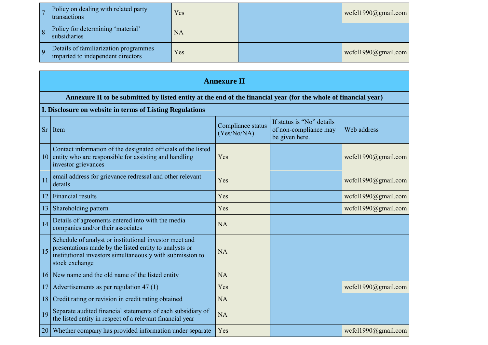|     | Policy on dealing with related party<br>transactions                       | Yes       | wcfcl1990@gmail.com |
|-----|----------------------------------------------------------------------------|-----------|---------------------|
|     | Policy for determining 'material'<br>subsidiaries                          | <b>NA</b> |                     |
| l Q | Details of familiarization programmes<br>imparted to independent directors | Yes       | wcfcl1990@gmail.com |

|           | <b>Annexure II</b>                                                                                                                                                                              |                                  |                                                                      |                     |  |  |  |
|-----------|-------------------------------------------------------------------------------------------------------------------------------------------------------------------------------------------------|----------------------------------|----------------------------------------------------------------------|---------------------|--|--|--|
|           | Annexure II to be submitted by listed entity at the end of the financial year (for the whole of financial year)                                                                                 |                                  |                                                                      |                     |  |  |  |
|           | I. Disclosure on website in terms of Listing Regulations                                                                                                                                        |                                  |                                                                      |                     |  |  |  |
| <b>Sr</b> | Item                                                                                                                                                                                            | Compliance status<br>(Yes/No/NA) | If status is "No" details<br>of non-compliance may<br>be given here. | Web address         |  |  |  |
| 10        | Contact information of the designated officials of the listed<br>entity who are responsible for assisting and handling<br>investor grievances                                                   | Yes                              |                                                                      | wcfcl1990@gmail.com |  |  |  |
| 11        | email address for grievance redressal and other relevant<br>details                                                                                                                             | Yes                              |                                                                      | wcfcl1990@gmail.com |  |  |  |
| 12        | <b>Financial results</b>                                                                                                                                                                        | Yes                              |                                                                      | wcfcl1990@gmail.com |  |  |  |
| 13        | Shareholding pattern                                                                                                                                                                            | Yes                              |                                                                      | wcfcl1990@gmail.com |  |  |  |
| 14        | Details of agreements entered into with the media<br>companies and/or their associates                                                                                                          | <b>NA</b>                        |                                                                      |                     |  |  |  |
| 15        | Schedule of analyst or institutional investor meet and<br>presentations made by the listed entity to analysts or<br>institutional investors simultaneously with submission to<br>stock exchange | <b>NA</b>                        |                                                                      |                     |  |  |  |
| 16        | New name and the old name of the listed entity                                                                                                                                                  | <b>NA</b>                        |                                                                      |                     |  |  |  |
| 17        | Advertisements as per regulation 47 (1)                                                                                                                                                         | Yes                              |                                                                      | wcfcl1990@gmail.com |  |  |  |
| 18        | Credit rating or revision in credit rating obtained                                                                                                                                             | <b>NA</b>                        |                                                                      |                     |  |  |  |
| 19        | Separate audited financial statements of each subsidiary of<br>the listed entity in respect of a relevant financial year                                                                        | <b>NA</b>                        |                                                                      |                     |  |  |  |
| 20        | Whether company has provided information under separate                                                                                                                                         | Yes                              |                                                                      | wcfcl1990@gmail.com |  |  |  |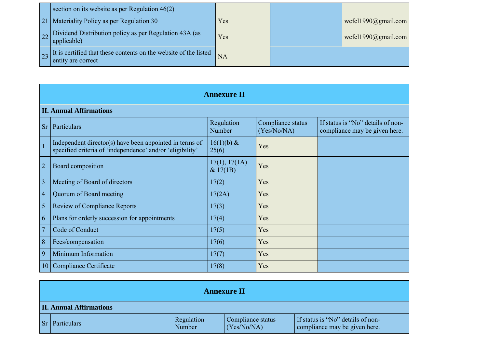|  | section on its website as per Regulation $46(2)$                                       |           |                     |
|--|----------------------------------------------------------------------------------------|-----------|---------------------|
|  | 21   Materiality Policy as per Regulation 30                                           | Yes       | wcfcl1990@gmail.com |
|  | $\vert$ applicable)                                                                    | Yes       | wcfcl1990@gmail.com |
|  | It is certified that these contents on the website of the listed<br>entity are correct | <b>NA</b> |                     |

|                 | <b>Annexure II</b>                                                                                                   |                           |                                  |                                                                    |  |  |
|-----------------|----------------------------------------------------------------------------------------------------------------------|---------------------------|----------------------------------|--------------------------------------------------------------------|--|--|
|                 | <b>II. Annual Affirmations</b>                                                                                       |                           |                                  |                                                                    |  |  |
| <b>Sr</b>       | Particulars                                                                                                          | Regulation<br>Number      | Compliance status<br>(Yes/No/NA) | If status is "No" details of non-<br>compliance may be given here. |  |  |
| $\mathbf{1}$    | Independent director(s) have been appointed in terms of<br>specified criteria of 'independence' and/or 'eligibility' | $16(1)(b)$ &<br>25(6)     | Yes                              |                                                                    |  |  |
| $\overline{2}$  | Board composition                                                                                                    | 17(1), 17(1A)<br>& 17(1B) | Yes                              |                                                                    |  |  |
| $\overline{3}$  | Meeting of Board of directors                                                                                        | 17(2)                     | Yes                              |                                                                    |  |  |
| $\overline{4}$  | Quorum of Board meeting                                                                                              | 17(2A)                    | Yes                              |                                                                    |  |  |
| 5               | <b>Review of Compliance Reports</b>                                                                                  | 17(3)                     | Yes                              |                                                                    |  |  |
| 6               | Plans for orderly succession for appointments                                                                        | 17(4)                     | Yes                              |                                                                    |  |  |
| $\overline{7}$  | Code of Conduct                                                                                                      | 17(5)                     | Yes                              |                                                                    |  |  |
| 8               | Fees/compensation                                                                                                    | 17(6)                     | Yes                              |                                                                    |  |  |
| 9               | Minimum Information                                                                                                  | 17(7)                     | Yes                              |                                                                    |  |  |
| 10 <sup>1</sup> | Compliance Certificate                                                                                               | 17(8)                     | Yes                              |                                                                    |  |  |

|    | <b>Annexure II</b>             |                      |                                  |                                                                    |  |  |
|----|--------------------------------|----------------------|----------------------------------|--------------------------------------------------------------------|--|--|
|    | <b>II. Annual Affirmations</b> |                      |                                  |                                                                    |  |  |
| Sr | <b>Particulars</b>             | Regulation<br>Number | Compliance status<br>(Yes/No/NA) | If status is "No" details of non-<br>compliance may be given here. |  |  |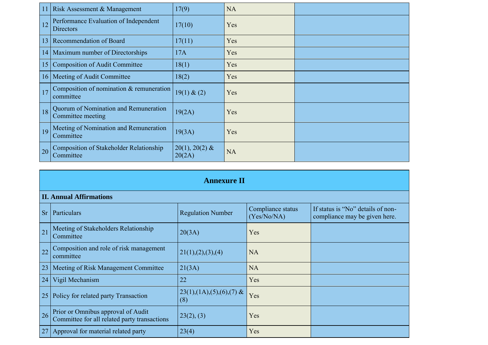|                 | Risk Assessment & Management                                | 17(9)                      | <b>NA</b> |  |
|-----------------|-------------------------------------------------------------|----------------------------|-----------|--|
| 12              | Performance Evaluation of Independent<br><b>Directors</b>   | 17(10)                     | Yes       |  |
| 13              | <b>Recommendation of Board</b>                              | 17(11)                     | Yes       |  |
| 14              | Maximum number of Directorships                             | 17A                        | Yes       |  |
| 15              | <b>Composition of Audit Committee</b>                       | 18(1)                      | Yes       |  |
| 16 <sup>1</sup> | Meeting of Audit Committee                                  | 18(2)                      | Yes       |  |
| 17              | Composition of nomination $&$ remuneration<br>committee     | 19(1) & (2)                | Yes       |  |
| 18              | Quorum of Nomination and Remuneration<br>Committee meeting  | 19(2A)                     | Yes       |  |
| 19              | Meeting of Nomination and Remuneration<br>Committee         | 19(3A)                     | Yes       |  |
| 20              | <b>Composition of Stakeholder Relationship</b><br>Committee | $20(1), 20(2)$ &<br>20(2A) | <b>NA</b> |  |

| <b>Annexure II</b> |                                                                                    |                                                   |                                  |                                                                    |
|--------------------|------------------------------------------------------------------------------------|---------------------------------------------------|----------------------------------|--------------------------------------------------------------------|
|                    | <b>II. Annual Affirmations</b>                                                     |                                                   |                                  |                                                                    |
| <b>Sr</b>          | Particulars                                                                        | <b>Regulation Number</b>                          | Compliance status<br>(Yes/No/NA) | If status is "No" details of non-<br>compliance may be given here. |
| 21                 | Meeting of Stakeholders Relationship<br>Committee                                  | 20(3A)                                            | Yes                              |                                                                    |
| 22                 | Composition and role of risk management<br>committee                               | 21(1), (2), (3), (4)                              | <b>NA</b>                        |                                                                    |
| 23                 | Meeting of Risk Management Committee                                               | 21(3A)                                            | <b>NA</b>                        |                                                                    |
| 24                 | Vigil Mechanism                                                                    | 22                                                | Yes                              |                                                                    |
| 25                 | Policy for related party Transaction                                               | $23(1)$ , $(1A)$ , $(5)$ , $(6)$ , $(7)$ &<br>(8) | Yes                              |                                                                    |
| 26                 | Prior or Omnibus approval of Audit<br>Committee for all related party transactions | 23(2), (3)                                        | Yes                              |                                                                    |
| 27                 | Approval for material related party                                                | 23(4)                                             | Yes                              |                                                                    |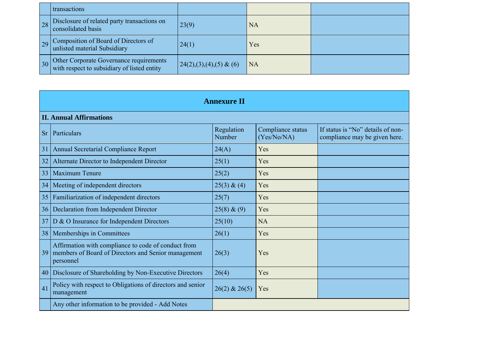|    | transactions                                                                           |                           |     |  |
|----|----------------------------------------------------------------------------------------|---------------------------|-----|--|
| 28 | Disclosure of related party transactions on<br>consolidated basis                      | 23(9)                     | NA  |  |
| 29 | Composition of Board of Directors of<br>unlisted material Subsidiary                   | 24(1)                     | Yes |  |
| 30 | Other Corporate Governance requirements<br>with respect to subsidiary of listed entity | $24(2),(3),(4),(5)$ & (6) | NA  |  |

|           | <b>Annexure II</b>                                                                                                      |                      |                                  |                                                                    |
|-----------|-------------------------------------------------------------------------------------------------------------------------|----------------------|----------------------------------|--------------------------------------------------------------------|
|           | <b>II. Annual Affirmations</b>                                                                                          |                      |                                  |                                                                    |
| <b>Sr</b> | Particulars                                                                                                             | Regulation<br>Number | Compliance status<br>(Yes/No/NA) | If status is "No" details of non-<br>compliance may be given here. |
| 31        | Annual Secretarial Compliance Report                                                                                    | 24(A)                | Yes                              |                                                                    |
| 32        | Alternate Director to Independent Director                                                                              | 25(1)                | Yes                              |                                                                    |
| 33        | Maximum Tenure                                                                                                          | 25(2)                | Yes                              |                                                                    |
| 34        | Meeting of independent directors                                                                                        | 25(3) & (4)          | Yes                              |                                                                    |
| 35        | Familiarization of independent directors                                                                                | 25(7)                | Yes                              |                                                                    |
| 36        | Declaration from Independent Director                                                                                   | $25(8) \& (9)$       | Yes                              |                                                                    |
| 37        | D & O Insurance for Independent Directors                                                                               | 25(10)               | <b>NA</b>                        |                                                                    |
| 38        | Memberships in Committees                                                                                               | 26(1)                | Yes                              |                                                                    |
| 39        | Affirmation with compliance to code of conduct from<br>members of Board of Directors and Senior management<br>personnel | 26(3)                | Yes                              |                                                                    |
| 40        | Disclosure of Shareholding by Non-Executive Directors                                                                   | 26(4)                | Yes                              |                                                                    |
| 41        | Policy with respect to Obligations of directors and senior<br>management                                                | $26(2)$ & $26(5)$    | Yes                              |                                                                    |
|           | Any other information to be provided - Add Notes                                                                        |                      |                                  |                                                                    |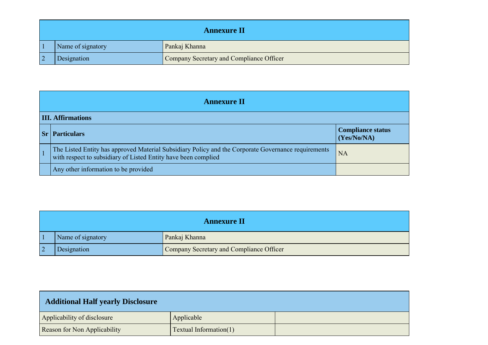| <b>Annexure II</b> |                                          |  |
|--------------------|------------------------------------------|--|
| Name of signatory  | Pankaj Khanna                            |  |
| Designation        | Company Secretary and Compliance Officer |  |

|           | <b>Annexure II</b>                                                                                                                                                    |                                         |  |  |
|-----------|-----------------------------------------------------------------------------------------------------------------------------------------------------------------------|-----------------------------------------|--|--|
|           | <b>III. Affirmations</b>                                                                                                                                              |                                         |  |  |
| $ S_{r} $ | <b>Particulars</b>                                                                                                                                                    | <b>Compliance status</b><br>(Yes/No/NA) |  |  |
|           | The Listed Entity has approved Material Subsidiary Policy and the Corporate Governance requirements<br>with respect to subsidiary of Listed Entity have been complied | <b>NA</b>                               |  |  |
|           | Any other information to be provided                                                                                                                                  |                                         |  |  |

| <b>Annexure II</b> |                                          |
|--------------------|------------------------------------------|
| Name of signatory  | Pankaj Khanna                            |
| Designation        | Company Secretary and Compliance Officer |

| <b>Additional Half yearly Disclosure</b> |                               |  |
|------------------------------------------|-------------------------------|--|
| Applicability of disclosure              | Applicable                    |  |
| <b>Reason for Non Applicability</b>      | <b>Textual Information(1)</b> |  |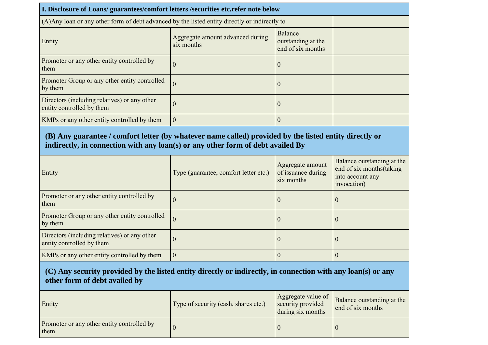| I. Disclosure of Loans/ guarantees/comfort letters /securities etc.refer note below            |                                                |                                                    |  |
|------------------------------------------------------------------------------------------------|------------------------------------------------|----------------------------------------------------|--|
| (A) Any loan or any other form of debt advanced by the listed entity directly or indirectly to |                                                |                                                    |  |
| Entity                                                                                         | Aggregate amount advanced during<br>six months | Balance<br>outstanding at the<br>end of six months |  |
| Promoter or any other entity controlled by<br>them                                             | V                                              | $\boldsymbol{0}$                                   |  |
| Promoter Group or any other entity controlled<br>by them                                       | $\theta$                                       | $\overline{0}$                                     |  |
| Directors (including relatives) or any other<br>entity controlled by them                      | v                                              | $\theta$                                           |  |
| KMPs or any other entity controlled by them                                                    | $\overline{0}$                                 | $\Omega$                                           |  |

## **(B) Any guarantee / comfort letter (by whatever name called) provided by the listed entity directly or indirectly, in connection with any loan(s) or any other form of debt availed By**

| Entity                                                                    | Type (guarantee, comfort letter etc.) | Aggregate amount<br>of issuance during<br>six months | Balance outstanding at the<br>end of six months (taking<br>into account any<br>invocation) |
|---------------------------------------------------------------------------|---------------------------------------|------------------------------------------------------|--------------------------------------------------------------------------------------------|
| Promoter or any other entity controlled by<br>them                        | $\cup$                                | U                                                    | U                                                                                          |
| Promoter Group or any other entity controlled<br>by them                  | $\theta$                              | -0                                                   | U                                                                                          |
| Directors (including relatives) or any other<br>entity controlled by them | ()                                    | U                                                    | U                                                                                          |
| KMPs or any other entity controlled by them                               | $\theta$                              |                                                      |                                                                                            |

## **(C) Any security provided by the listed entity directly or indirectly, in connection with any loan(s) or any other form of debt availed by**

| Entity                                             | Type of security (cash, shares etc.) | Aggregate value of<br>security provided<br>during six months | Balance outstanding at the<br>end of six months |
|----------------------------------------------------|--------------------------------------|--------------------------------------------------------------|-------------------------------------------------|
| Promoter or any other entity controlled by<br>them |                                      |                                                              |                                                 |